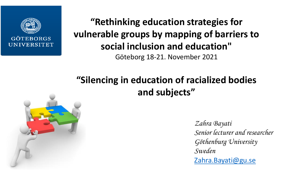

**VERSITET** 

## **"Rethinking education strategies for vulnerable groups by mapping of barriers to social inclusion and education"**  Göteborg 18-21. November 2021

**"Silencing in education of racialized bodies and subjects"**



*Zahra Bayati Senior lecturer and researcher Göthenburg University Sweden*  [Zahra.Bayati@gu.se](mailto:Zahra.Bayati@gu.se)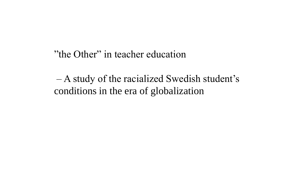"the Other" in teacher education

– A study of the racialized Swedish student's conditions in the era of globalization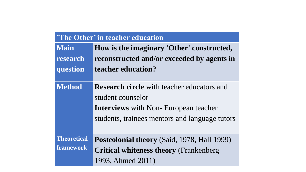| 'The Other' in teacher education |                                                    |
|----------------------------------|----------------------------------------------------|
| <b>Main</b>                      | How is the imaginary 'Other' constructed,          |
| research                         | reconstructed and/or exceeded by agents in         |
| question                         | teacher education?                                 |
|                                  |                                                    |
| Method                           | <b>Research circle</b> with teacher educators and  |
|                                  | student counselor                                  |
|                                  | <b>Interviews</b> with Non-European teacher        |
|                                  | students, trainees mentors and language tutors     |
|                                  |                                                    |
| <b>Theoretical</b>               | <b>Postcolonial theory (Said, 1978, Hall 1999)</b> |
| framework                        | <b>Critical whiteness theory</b> (Frankenberg)     |
|                                  | 1993, Ahmed 2011)                                  |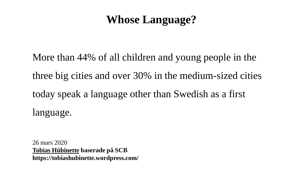# **Whose Language?**

More than 44% of all children and young people in the three big cities and over 30% in the medium-sized cities today speak a language other than Swedish as a first language.

26 mars 2020 **[Tobias Hübinette](https://tobiashubinette.wordpress.com/) baserade på SCB https://tobiashubinette.wordpress.com/**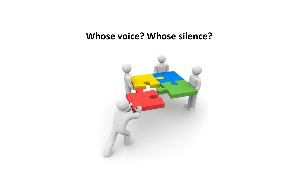## **Whose voice? Whose silence?**

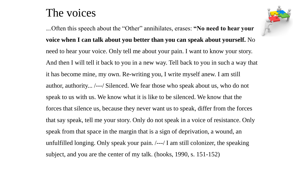# The voices

….Often this speech about the "Other" annihilates, erases: **"No need to hear your voice when I can talk about you better than you can speak about yourself.** No need to hear your voice. Only tell me about your pain. I want to know your story. And then I will tell it back to you in a new way. Tell back to you in such a way that it has become mine, my own. Re-writing you, I write myself anew. I am still author, authority... /---/ Silenced. We fear those who speak about us, who do not speak to us with us. We know what it is like to be silenced. We know that the forces that silence us, because they never want us to speak, differ from the forces that say speak, tell me your story. Only do not speak in a voice of resistance. Only speak from that space in the margin that is a sign of deprivation, a wound, an unfulfilled longing. Only speak your pain. /---/ I am still colonizer, the speaking subject, and you are the center of my talk. (hooks, 1990, s. 151-152)

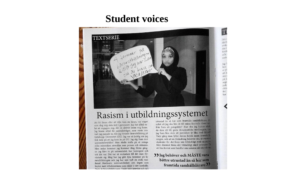## **Student voices**



Rasism i utbildningssystemet

Att bli lärare eller att vilja vara en lärare, var något som slog mig sista året i gymnasiet. Jag har alltid velat att engagera mig, där en aktivist inom mig fanns. Jag brann alltid för samhällsfrågor, men visste inte vart jag passade in, tills jag började lärarutbildning på Göteborgs Universitet (GU). Jag var så lycklig när jag fick reda på att jag kom in på GU. Jag såg fram mot universitetsvärlden! Man skulle träffa på så många olika människor, utvecklas som person och utmanas. Men sedan kommer jag kommer ihåg första gången jag klev in på universitetet, hur homogent och vitt det var. Det var så motsatsen till det man förväntade sig. Idag har jag gått fyra terminer på lärarutbildningen och jag har inte haft en enda rasifierad föreläsare, seminarieledare osv, ingen som bryter mot vithetsnormen som råder i vårt samhälle. Detta är lärarutbildningen. Under min uppväxt och tid i

utrustad än så här som framtida samhällslämre. År syftet att jag ska lära ut till mina framtida elever ulifrån bara ett perspektiv? Hur ska jag kunna utblda dem då till goda demokratiska medborgare, om jag bara lära dem att jämlikhet är lika med likhet! Varje gång man lyfter denna kritik inom lärarufbildningen, och att en förändring behöver ske, är svaret vistudenter får: det finns inte tillräckligt med utrymme. Men däremot finns det tillräckligt med utrymme för att läsa kurser som handlar om samma sak om och om

22 Jag behöver och MÅSTE vara bättre utrustad än så här som framtida samhällslärare<sup>37</sup>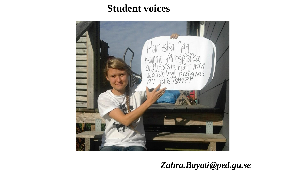## **Student voices**



*Zahra.Bayati@ped.gu.se*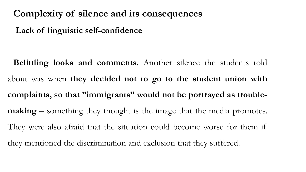**Complexity of silence and its consequences**

**Lack of linguistic self-confidence**

**Belittling looks and comments**. Another silence the students told about was when **they decided not to go to the student union with complaints, so that "immigrants" would not be portrayed as troublemaking** – something they thought is the image that the media promotes. They were also afraid that the situation could become worse for them if they mentioned the discrimination and exclusion that they suffered.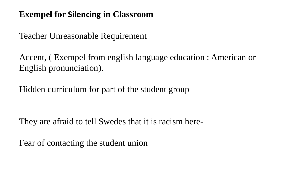## **Exempel for Silencing in Classroom**

Teacher Unreasonable Requirement

Accent, ( Exempel from english language education : American or English pronunciation).

Hidden curriculum for part of the student group

They are afraid to tell Swedes that it is racism here-

Fear of contacting the student union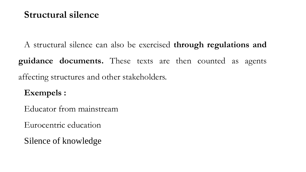## **Structural silence**

A structural silence can also be exercised **through regulations and**

**guidance documents.** These texts are then counted as agents affecting structures and other stakeholders.

## **Exempels :**

Educator from mainstream

Eurocentric education

Silence of knowledge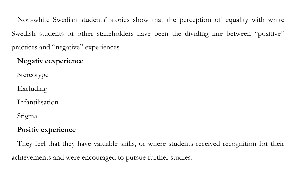Non-white Swedish students' stories show that the perception of equality with white Swedish students or other stakeholders have been the dividing line between "positive" practices and "negative" experiences.

#### **Negativ eexperience**

- Stereotype
- Excluding
- Infantilisation
- Stigma

#### **Positiv experience**

They feel that they have valuable skills, or where students received recognition for their achievements and were encouraged to pursue further studies.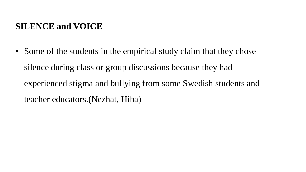## **SILENCE and VOICE**

• Some of the students in the empirical study claim that they chose silence during class or group discussions because they had experienced stigma and bullying from some Swedish students and teacher educators.(Nezhat, Hiba)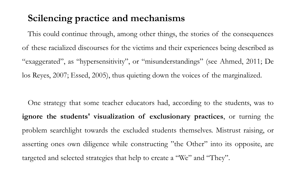## **Scilencing practice and mechanisms**

This could continue through, among other things, the stories of the consequences of these racialized discourses for the victims and their experiences being described as "exaggerated", as "hypersensitivity", or "misunderstandings" (see Ahmed, 2011; De los Reyes, 2007; Essed, 2005), thus quieting down the voices of the marginalized.

One strategy that some teacher educators had, according to the students, was to **ignore the students' visualization of exclusionary practices**, or turning the problem searchlight towards the excluded students themselves. Mistrust raising, or asserting ones own diligence while constructing "the Other" into its opposite, are targeted and selected strategies that help to create a "We" and "They".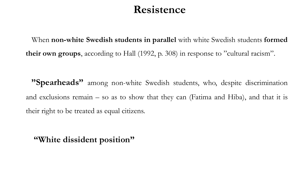# **Resistence**

When **non-white Swedish students in parallel** with white Swedish students **formed their own groups**, according to Hall (1992, p. 308) in response to "cultural racism".

**"Spearheads"** among non-white Swedish students, who, despite discrimination and exclusions remain – so as to show that they can (Fatima and Hiba), and that it is their right to be treated as equal citizens.

**"White dissident position"**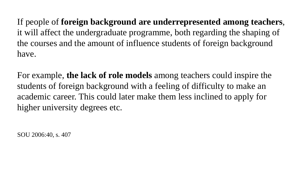If people of **foreign background are underrepresented among teachers**, it will affect the undergraduate programme, both regarding the shaping of the courses and the amount of influence students of foreign background have.

For example, **the lack of role models** among teachers could inspire the students of foreign background with a feeling of difficulty to make an academic career. This could later make them less inclined to apply for higher university degrees etc.

SOU 2006:40, s. 407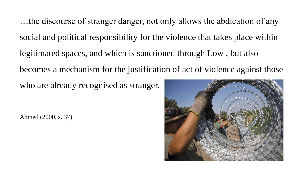…the discourse of stranger danger, not only allows the abdication of any social and political responsibility for the violence that takes place within legitimated spaces, and which is sanctioned through Low , but also becomes a mechanism for the justification of act of violence against those

who are already recognised as stranger.

Ahmed (2000, s. 37)

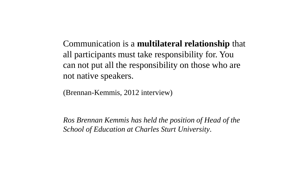Communication is a **multilateral relationship** that all participants must take responsibility for. You can not put all the responsibility on those who are not native speakers.

(Brennan-Kemmis, 2012 interview)

*Ros Brennan Kemmis has held the position of Head of the School of Education at Charles Sturt University*.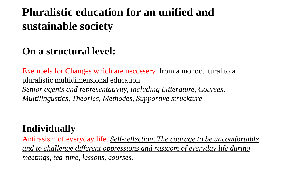# **Pluralistic education for an unified and sustainable society**

# **On a structural level:**

Exempels for Changes which are neccesery from a monocultural to a pluralistic multidimensional education *Senior agents and representativity, Including Litterature, Courses, Multilingustics, Theories, Methodes, Supportive struckture*

# **Individually**

Antirasism of everyday life. *Self-reflection, The courage to be uncomfortable and to challenge different oppressions and rasicom of everyday life during meetings, tea-time, lessons, courses.*